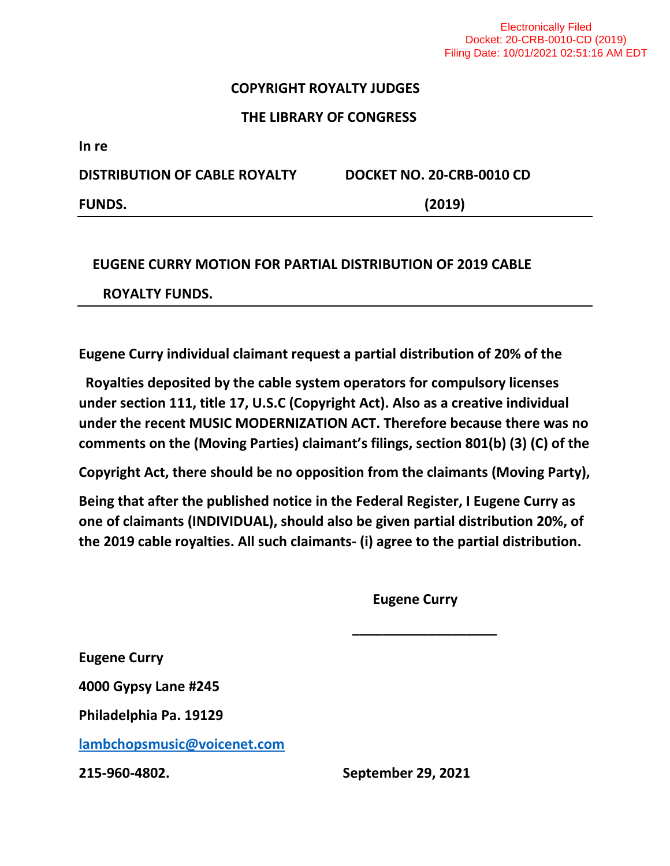## **COPYRIGHT ROYALTY JUDGES**

## **THE LIBRARY OF CONGRESS**

**In re**

**DISTRIBUTION OF CABLE ROYALTY DOCKET NO. 20-CRB-0010 CD FUNDS. (2019)**

## **EUGENE CURRY MOTION FOR PARTIAL DISTRIBUTION OF 2019 CABLE ROYALTY FUNDS.**

**Eugene Curry individual claimant request a partial distribution of 20% of the** 

**Royalties deposited by the cable system operators for compulsory licenses under section 111, title 17, U.S.C (Copyright Act). Also as a creative individual under the recent MUSIC MODERNIZATION ACT. Therefore because there was no comments on the (Moving Parties) claimant's filings, section 801(b) (3) (C) of the** 

**Copyright Act, there should be no opposition from the claimants (Moving Party),**

**Being that after the published notice in the Federal Register, I Eugene Curry as one of claimants (INDIVIDUAL), should also be given partial distribution 20%, of the 2019 cable royalties. All such claimants- (i) agree to the partial distribution.** 

 **\_\_\_\_\_\_\_\_\_\_\_\_\_\_\_\_\_\_\_**

 **Eugene Curry** 

**Eugene Curry** 

**4000 Gypsy Lane #245**

**Philadelphia Pa. 19129**

**[lambchopsmusic@voicenet.com](mailto:lambchopsmusic@voicenet.com)**